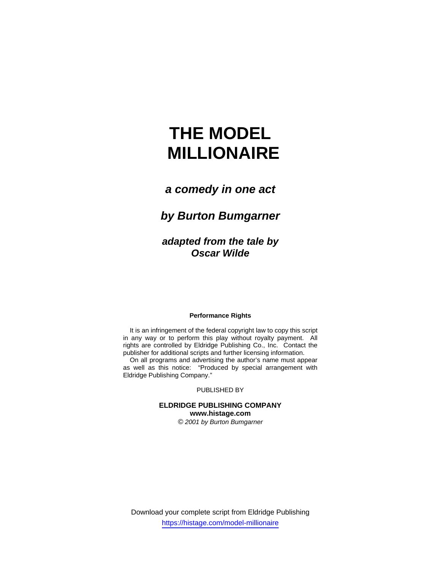# **THE MODEL MILLIONAIRE**

## *a comedy in one act*

# *by Burton Bumgarner*

*adapted from the tale by Oscar Wilde*

#### **Performance Rights**

It is an infringement of the federal copyright law to copy this script in any way or to perform this play without royalty payment. All rights are controlled by Eldridge Publishing Co., Inc. Contact the publisher for additional scripts and further licensing information.

On all programs and advertising the author's name must appear as well as this notice: "Produced by special arrangement with Eldridge Publishing Company."

PUBLISHED BY

## **ELDRIDGE PUBLISHING COMPANY www.histage.com**

*© 2001 by Burton Bumgarner*

Download your complete script from Eldridge Publishing https://histage.com/model-millionaire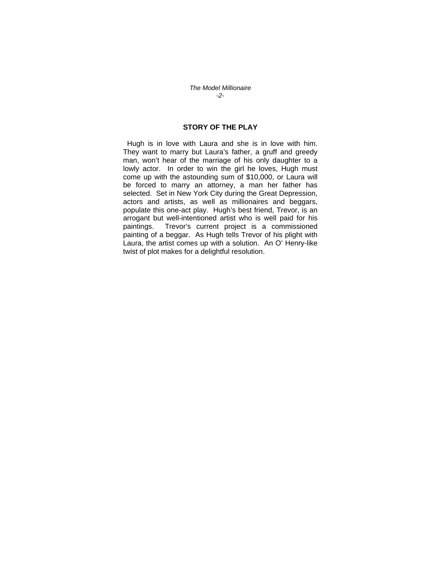*The Model Millionaire -2-* 

#### **STORY OF THE PLAY**

 Hugh is in love with Laura and she is in love with him. They want to marry but Laura's father, a gruff and greedy man, won't hear of the marriage of his only daughter to a lowly actor. In order to win the girl he loves, Hugh must come up with the astounding sum of \$10,000, or Laura will be forced to marry an attorney, a man her father has selected. Set in New York City during the Great Depression, actors and artists, as well as millionaires and beggars, populate this one-act play. Hugh's best friend, Trevor, is an arrogant but well-intentioned artist who is well paid for his paintings. Trevor's current project is a commissioned painting of a beggar. As Hugh tells Trevor of his plight with Laura, the artist comes up with a solution. An O' Henry-like twist of plot makes for a delightful resolution.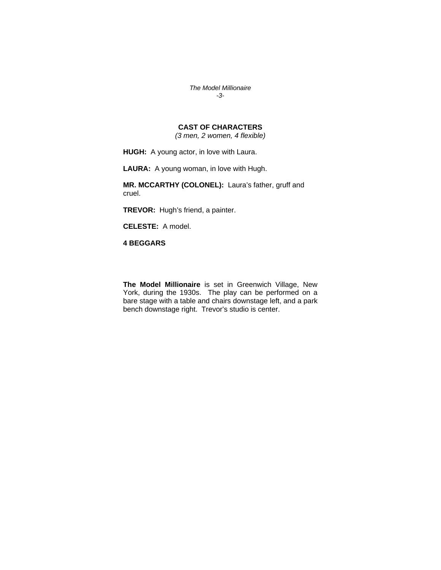*The Model Millionaire -3-* 

#### **CAST OF CHARACTERS**

*(3 men, 2 women, 4 flexible)*

**HUGH:** A young actor, in love with Laura.

**LAURA:** A young woman, in love with Hugh.

**MR. MCCARTHY (COLONEL):** Laura's father, gruff and cruel.

**TREVOR:** Hugh's friend, a painter.

**CELESTE:** A model.

**4 BEGGARS** 

**The Model Millionaire** is set in Greenwich Village, New York, during the 1930s. The play can be performed on a bare stage with a table and chairs downstage left, and a park bench downstage right. Trevor's studio is center.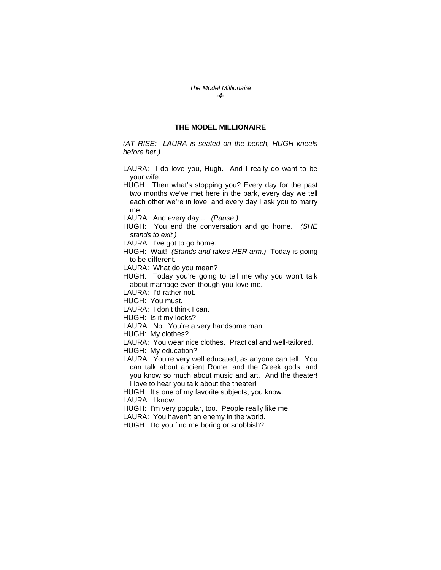*The Model Millionaire -4-* 

#### **THE MODEL MILLIONAIRE**

*(AT RISE: LAURA is seated on the bench, HUGH kneels before her.)* 

- LAURA: I do love you, Hugh. And I really do want to be your wife.
- HUGH: Then what's stopping you? Every day for the past two months we've met here in the park, every day we tell each other we're in love, and every day I ask you to marry me.
- LAURA: And every day ... *(Pause.)*
- HUGH: You end the conversation and go home. *(SHE stands to exit.)*
- LAURA: I've got to go home.
- HUGH: Wait! *(Stands and takes HER arm.)* Today is going to be different.
- LAURA: What do you mean?
- HUGH: Today you're going to tell me why you won't talk about marriage even though you love me.
- LAURA: I'd rather not.
- HUGH: You must.
- LAURA: I don't think I can.
- HUGH: Is it my looks?
- LAURA: No. You're a very handsome man.
- HUGH: My clothes?
- LAURA: You wear nice clothes. Practical and well-tailored. HUGH: My education?
- LAURA: You're very well educated, as anyone can tell. You can talk about ancient Rome, and the Greek gods, and you know so much about music and art. And the theater! I love to hear you talk about the theater!
- HUGH: It's one of my favorite subjects, you know. LAURA: I know.
- 
- HUGH: I'm very popular, too. People really like me.
- LAURA: You haven't an enemy in the world.
- HUGH: Do you find me boring or snobbish?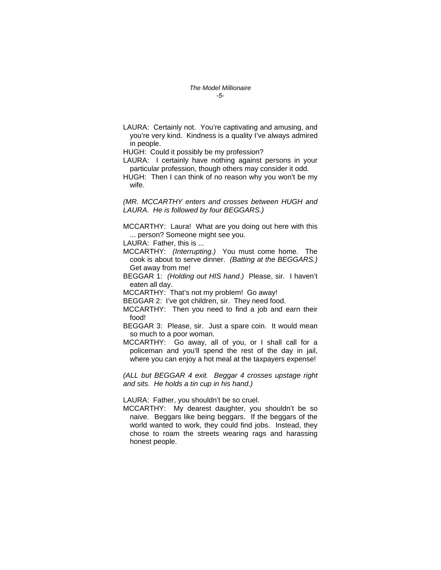*The Model Millionaire -5-* 

LAURA: Certainly not. You're captivating and amusing, and you're very kind. Kindness is a quality I've always admired in people.

HUGH: Could it possibly be my profession?

LAURA: I certainly have nothing against persons in your particular profession, though others may consider it odd.

HUGH: Then I can think of no reason why you won't be my wife.

*(MR. MCCARTHY enters and crosses between HUGH and LAURA. He is followed by four BEGGARS.)* 

MCCARTHY: Laura! What are you doing out here with this ... person? Someone might see you.

LAURA: Father, this is ...

- MCCARTHY: *(Interrupting.)* You must come home. The cook is about to serve dinner. *(Batting at the BEGGARS.)*  Get away from me!
- BEGGAR 1: *(Holding out HIS hand.)* Please, sir. I haven't eaten all day.

MCCARTHY: That's not my problem! Go away!

BEGGAR 2: I've got children, sir. They need food.

- MCCARTHY: Then you need to find a job and earn their food!
- BEGGAR 3: Please, sir. Just a spare coin. It would mean so much to a poor woman.
- MCCARTHY: Go away, all of you, or I shall call for a policeman and you'll spend the rest of the day in jail, where you can enjoy a hot meal at the taxpayers expense!

*(ALL but BEGGAR 4 exit. Beggar 4 crosses upstage right and sits. He holds a tin cup in his hand.)* 

LAURA: Father, you shouldn't be so cruel.

MCCARTHY: My dearest daughter, you shouldn't be so naive. Beggars like being beggars. If the beggars of the world wanted to work, they could find jobs. Instead, they chose to roam the streets wearing rags and harassing honest people.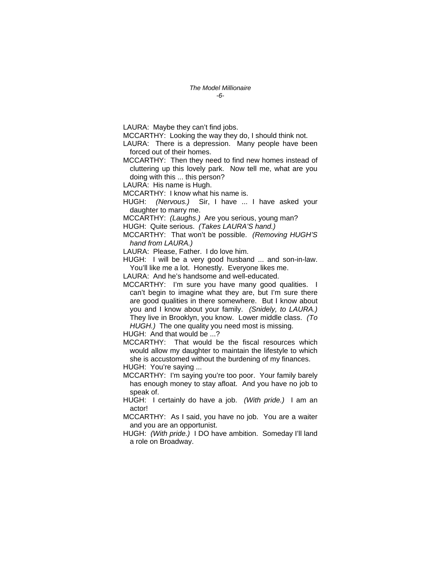LAURA: Maybe they can't find jobs.

MCCARTHY: Looking the way they do, I should think not.

LAURA: There is a depression. Many people have been forced out of their homes.

MCCARTHY: Then they need to find new homes instead of cluttering up this lovely park. Now tell me, what are you doing with this ... this person?

LAURA: His name is Hugh.

MCCARTHY: I know what his name is.

HUGH: *(Nervous.)* Sir, I have ... I have asked your daughter to marry me.

MCCARTHY: *(Laughs.)* Are you serious, young man?

HUGH: Quite serious. *(Takes LAURA'S hand.)* 

MCCARTHY: That won't be possible. *(Removing HUGH'S hand from LAURA.)* 

LAURA: Please, Father. I do love him.

HUGH: I will be a very good husband ... and son-in-law. You'll like me a lot. Honestly. Everyone likes me.

LAURA: And he's handsome and well-educated.

MCCARTHY: I'm sure you have many good qualities. I can't begin to imagine what they are, but I'm sure there are good qualities in there somewhere. But I know about you and I know about your family. *(Snidely, to LAURA.)*  They live in Brooklyn, you know. Lower middle class. *(To HUGH.)* The one quality you need most is missing.

HUGH: And that would be ...?

MCCARTHY: That would be the fiscal resources which would allow my daughter to maintain the lifestyle to which she is accustomed without the burdening of my finances.

HUGH: You're saying ...

MCCARTHY: I'm saying you're too poor. Your family barely has enough money to stay afloat. And you have no job to speak of.

HUGH: I certainly do have a job. *(With pride.)* I am an actor!

MCCARTHY: As I said, you have no job. You are a waiter and you are an opportunist.

HUGH: *(With pride.)* I DO have ambition. Someday I'll land a role on Broadway.